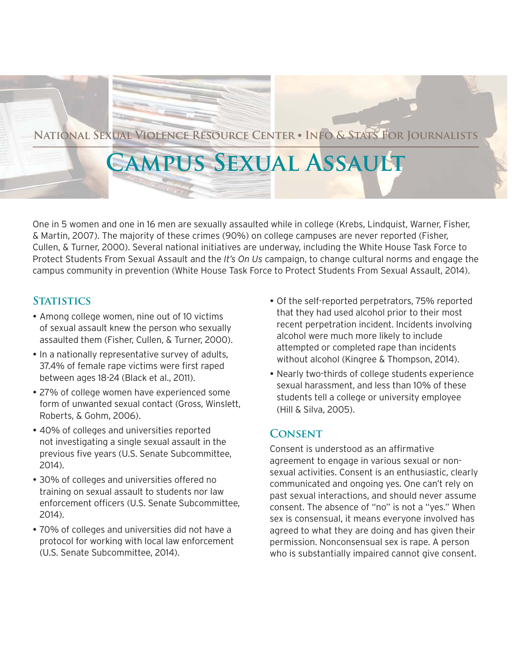

# **National Sexual Violence Resource Center** z **Info & Stats For Journalists**

# **Campus Sexual Assault**

One in 5 women and one in 16 men are sexually assaulted while in college (Krebs, Lindquist, Warner, Fisher, & Martin, 2007). The majority of these crimes (90%) on college campuses are never reported (Fisher, Cullen, & Turner, 2000). Several national initiatives are underway, including the White House Task Force to Protect Students From Sexual Assault and the *It's On Us* campaign, to change cultural norms and engage the campus community in prevention (White House Task Force to Protect Students From Sexual Assault, 2014).

### **STATISTICS**

- Among college women, nine out of 10 victims of sexual assault knew the person who sexually assaulted them (Fisher, Cullen, & Turner, 2000).
- In a nationally representative survey of adults, 37.4% of female rape victims were first raped between ages 18-24 (Black et al., 2011).
- 27% of college women have experienced some form of unwanted sexual contact (Gross, Winslett, Roberts, & Gohm, 2006).
- 40% of colleges and universities reported not investigating a single sexual assault in the previous five years (U.S. Senate Subcommittee, 2014).
- 30% of colleges and universities offered no training on sexual assault to students nor law enforcement officers (U.S. Senate Subcommittee, 2014).
- 70% of colleges and universities did not have a protocol for working with local law enforcement (U.S. Senate Subcommittee, 2014).
- Of the self-reported perpetrators, 75% reported that they had used alcohol prior to their most recent perpetration incident. Incidents involving alcohol were much more likely to include attempted or completed rape than incidents without alcohol (Kingree & Thompson, 2014).
- Nearly two-thirds of college students experience sexual harassment, and less than 10% of these students tell a college or university employee (Hill & Silva, 2005).

## **Consent**

Consent is understood as an affirmative agreement to engage in various sexual or nonsexual activities. Consent is an enthusiastic, clearly communicated and ongoing yes. One can't rely on past sexual interactions, and should never assume consent. The absence of "no" is not a "yes." When sex is consensual, it means everyone involved has agreed to what they are doing and has given their permission. Nonconsensual sex is rape. A person who is substantially impaired cannot give consent.